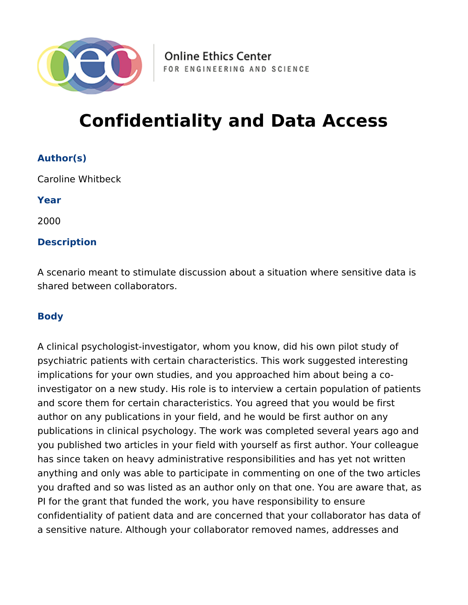

# **Confidentiality and Data Access**

# **Author(s)**

Caroline Whitbeck

**Year**

2000

### **Description**

A scenario meant to stimulate discussion about a situation where sensitive data is shared between collaborators.

## **Body**

A clinical psychologist-investigator, whom you know, did his own pilot study of psychiatric patients with certain characteristics. This work suggested interesting implications for your own studies, and you approached him about being a coinvestigator on a new study. His role is to interview a certain population of patients and score them for certain characteristics. You agreed that you would be first author on any publications in your field, and he would be first author on any publications in clinical psychology. The work was completed several years ago and you published two articles in your field with yourself as first author. Your colleague has since taken on heavy administrative responsibilities and has yet not written anything and only was able to participate in commenting on one of the two articles you drafted and so was listed as an author only on that one. You are aware that, as PI for the grant that funded the work, you have responsibility to ensure confidentiality of patient data and are concerned that your collaborator has data of a sensitive nature. Although your collaborator removed names, addresses and